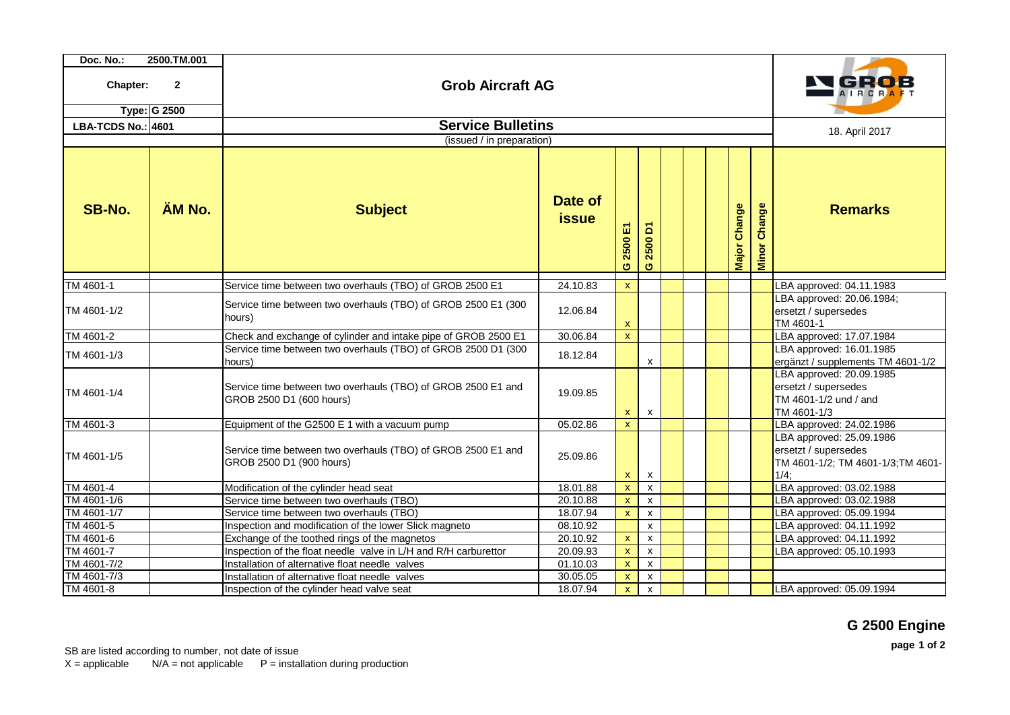| Doc. No.:                                       | 2500.TM.001 |                                                                                          |                         |                          |                           |  |  |  |              |                        |                                                                                                |
|-------------------------------------------------|-------------|------------------------------------------------------------------------------------------|-------------------------|--------------------------|---------------------------|--|--|--|--------------|------------------------|------------------------------------------------------------------------------------------------|
| $\mathbf{2}$<br>Chapter:<br><b>Type: G 2500</b> |             | <b>Grob Aircraft AG</b>                                                                  |                         |                          |                           |  |  |  |              |                        | l GROB<br>AIRCRAFT                                                                             |
|                                                 |             | <b>Service Bulletins</b>                                                                 |                         |                          |                           |  |  |  |              |                        |                                                                                                |
| <b>LBA-TCDS No.: 4601</b>                       |             | (issued / in preparation)                                                                |                         |                          |                           |  |  |  |              |                        | 18. April 2017                                                                                 |
| SB-No.                                          | ÄM No.      | <b>Subject</b>                                                                           | Date of<br><b>issue</b> | 冨<br>2500<br>$\mathbf o$ | δ<br>2500<br>$\sigma$     |  |  |  | Major Change | Change<br><b>Minor</b> | <b>Remarks</b>                                                                                 |
| TM 4601-1                                       |             | Service time between two overhauls (TBO) of GROB 2500 E1                                 | 24.10.83                | $\mathbf{x}$             |                           |  |  |  |              |                        | LBA approved: 04.11.1983                                                                       |
| TM 4601-1/2                                     |             | Service time between two overhauls (TBO) of GROB 2500 E1 (300<br>hours)                  | 12.06.84                | $\pmb{\mathsf{x}}$       |                           |  |  |  |              |                        | LBA approved: 20.06.1984;<br>ersetzt / supersedes<br>TM 4601-1                                 |
| TM 4601-2                                       |             | Check and exchange of cylinder and intake pipe of GROB 2500 E1                           | 30.06.84                | $\mathsf{X}$             |                           |  |  |  |              |                        | LBA approved: 17.07.1984                                                                       |
| TM 4601-1/3                                     |             | Service time between two overhauls (TBO) of GROB 2500 D1 (300<br>hours)                  | 18.12.84                |                          | $\pmb{\mathsf{x}}$        |  |  |  |              |                        | LBA approved: 16.01.1985<br>ergänzt / supplements TM 4601-1/2                                  |
| TM 4601-1/4                                     |             | Service time between two overhauls (TBO) of GROB 2500 E1 and<br>GROB 2500 D1 (600 hours) | 19.09.85                | $\mathsf{X}$             | $\boldsymbol{\mathsf{x}}$ |  |  |  |              |                        | LBA approved: 20.09.1985<br>ersetzt / supersedes<br>TM 4601-1/2 und / and<br>TM 4601-1/3       |
| TM 4601-3                                       |             | Equipment of the G2500 E 1 with a vacuum pump                                            | 05.02.86                | $\mathsf{X}$             |                           |  |  |  |              |                        | LBA approved: 24.02.1986                                                                       |
| TM 4601-1/5                                     |             | Service time between two overhauls (TBO) of GROB 2500 E1 and<br>GROB 2500 D1 (900 hours) | 25.09.86                | x                        | $\boldsymbol{\mathsf{x}}$ |  |  |  |              |                        | LBA approved: 25.09.1986<br>ersetzt / supersedes<br>TM 4601-1/2; TM 4601-1/3; TM 4601-<br>1/4; |
| TM 4601-4                                       |             | Modification of the cylinder head seat                                                   | 18.01.88                | $\mathbf{x}$             | $\pmb{\mathsf{x}}$        |  |  |  |              |                        | LBA approved: 03.02.1988                                                                       |
| TM 4601-1/6                                     |             | Service time between two overhauls (TBO)                                                 | 20.10.88                | $\mathbf{x}$             | $\mathsf{x}$              |  |  |  |              |                        | LBA approved: 03.02.1988                                                                       |
| TM 4601-1/7                                     |             | Service time between two overhauls (TBO)                                                 | 18.07.94                | $\mathbf{x}$             | $\pmb{\mathsf{x}}$        |  |  |  |              |                        | LBA approved: 05.09.1994                                                                       |
| TM 4601-5                                       |             | Inspection and modification of the lower Slick magneto                                   | 08.10.92                |                          | $\pmb{\mathsf{X}}$        |  |  |  |              |                        | LBA approved: 04.11.1992                                                                       |
| TM 4601-6                                       |             | Exchange of the toothed rings of the magnetos                                            | 20.10.92                | $\mathbf x$              | $\pmb{\mathsf{x}}$        |  |  |  |              |                        | LBA approved: 04.11.1992                                                                       |
| TM 4601-7                                       |             | Inspection of the float needle valve in L/H and R/H carburettor                          | 20.09.93                | $\mathbf{x}$             | $\pmb{\mathsf{X}}$        |  |  |  |              |                        | LBA approved: 05.10.1993                                                                       |
| TM 4601-7/2                                     |             | Installation of alternative float needle valves                                          | 01.10.03                | $\mathbf{x}$             | $\pmb{\mathsf{x}}$        |  |  |  |              |                        |                                                                                                |
| TM 4601-7/3                                     |             | Installation of alternative float needle valves                                          | 30.05.05                | $\mathbf{x}$             | X                         |  |  |  |              |                        |                                                                                                |
| TM 4601-8                                       |             | Inspection of the cylinder head valve seat                                               | 18.07.94                | $\mathbf{x}$             | $\pmb{\mathsf{X}}$        |  |  |  |              |                        | LBA approved: 05.09.1994                                                                       |